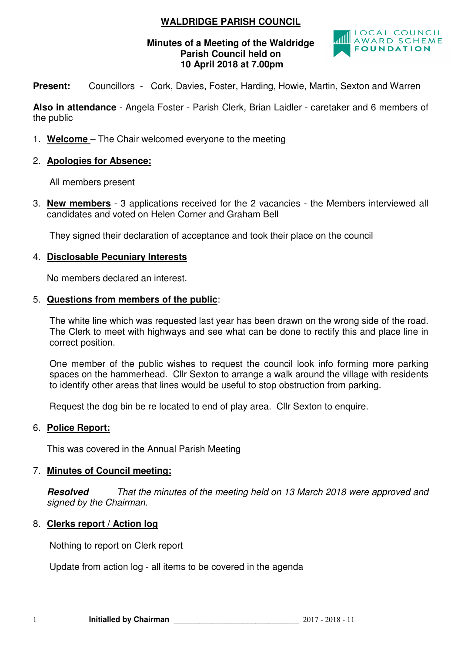## **WALDRIDGE PARISH COUNCIL**

#### **Minutes of a Meeting of the Waldridge Parish Council held on 10 April 2018 at 7.00pm**



**Present:** Councillors - Cork, Davies, Foster, Harding, Howie, Martin, Sexton and Warren

**Also in attendance** - Angela Foster - Parish Clerk, Brian Laidler - caretaker and 6 members of the public

- 1. **Welcome**  The Chair welcomed everyone to the meeting
- 2. **Apologies for Absence:**

All members present

3. **New members** - 3 applications received for the 2 vacancies - the Members interviewed all candidates and voted on Helen Corner and Graham Bell

They signed their declaration of acceptance and took their place on the council

## 4. **Disclosable Pecuniary Interests**

No members declared an interest.

## 5. **Questions from members of the public**:

The white line which was requested last year has been drawn on the wrong side of the road. The Clerk to meet with highways and see what can be done to rectify this and place line in correct position.

One member of the public wishes to request the council look info forming more parking spaces on the hammerhead. Cllr Sexton to arrange a walk around the village with residents to identify other areas that lines would be useful to stop obstruction from parking.

Request the dog bin be re located to end of play area. Cllr Sexton to enquire.

## 6. **Police Report:**

This was covered in the Annual Parish Meeting

## 7. **Minutes of Council meeting:**

**Resolved** That the minutes of the meeting held on 13 March 2018 were approved and signed by the Chairman.

## 8. **Clerks report / Action log**

Nothing to report on Clerk report

Update from action log - all items to be covered in the agenda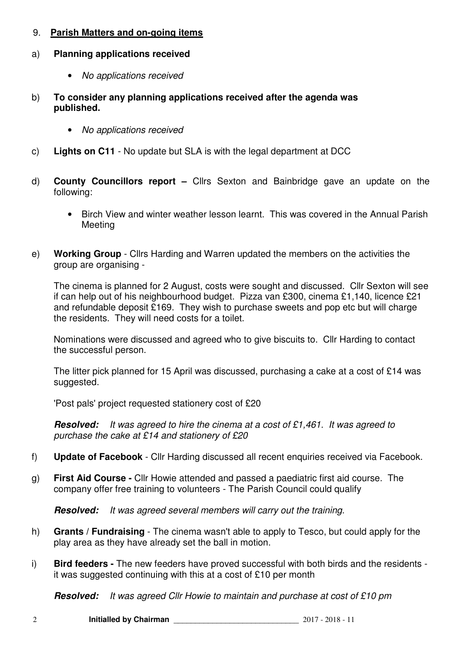## 9. **Parish Matters and on-going items**

## a) **Planning applications received**

- No applications received
- b) **To consider any planning applications received after the agenda was published.** 
	- No applications received
- c) **Lights on C11**  No update but SLA is with the legal department at DCC
- d) **County Councillors report** Cllrs Sexton and Bainbridge gave an update on the following:
	- Birch View and winter weather lesson learnt. This was covered in the Annual Parish Meeting
- e) **Working Group** Cllrs Harding and Warren updated the members on the activities the group are organising -

The cinema is planned for 2 August, costs were sought and discussed. Cllr Sexton will see if can help out of his neighbourhood budget. Pizza van £300, cinema £1,140, licence £21 and refundable deposit £169. They wish to purchase sweets and pop etc but will charge the residents. They will need costs for a toilet.

Nominations were discussed and agreed who to give biscuits to. Cllr Harding to contact the successful person.

The litter pick planned for 15 April was discussed, purchasing a cake at a cost of £14 was suggested.

'Post pals' project requested stationery cost of £20

**Resolved:** It was agreed to hire the cinema at a cost of £1,461. It was agreed to purchase the cake at £14 and stationery of £20

- f) **Update of Facebook**  Cllr Harding discussed all recent enquiries received via Facebook.
- g) **First Aid Course** Cllr Howie attended and passed a paediatric first aid course. The company offer free training to volunteers - The Parish Council could qualify

**Resolved:** It was agreed several members will carry out the training.

- h) **Grants / Fundraising**  The cinema wasn't able to apply to Tesco, but could apply for the play area as they have already set the ball in motion.
- i) **Bird feeders** The new feeders have proved successful with both birds and the residents it was suggested continuing with this at a cost of £10 per month

**Resolved:** It was agreed Cllr Howie to maintain and purchase at cost of £10 pm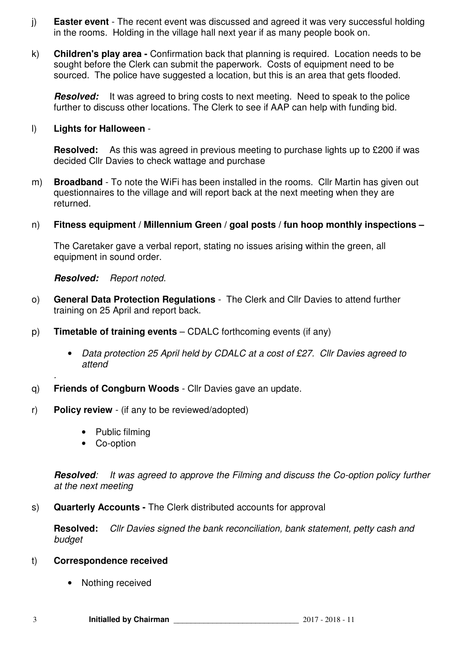- j) **Easter event**  The recent event was discussed and agreed it was very successful holding in the rooms. Holding in the village hall next year if as many people book on.
- k) **Children's play area** Confirmation back that planning is required. Location needs to be sought before the Clerk can submit the paperwork. Costs of equipment need to be sourced. The police have suggested a location, but this is an area that gets flooded.

**Resolved:** It was agreed to bring costs to next meeting. Need to speak to the police further to discuss other locations. The Clerk to see if AAP can help with funding bid.

#### l) **Lights for Halloween** -

**Resolved:** As this was agreed in previous meeting to purchase lights up to £200 if was decided Cllr Davies to check wattage and purchase

- m) **Broadband**  To note the WiFi has been installed in the rooms. Cllr Martin has given out questionnaires to the village and will report back at the next meeting when they are returned.
- n) **Fitness equipment / Millennium Green / goal posts / fun hoop monthly inspections**

The Caretaker gave a verbal report, stating no issues arising within the green, all equipment in sound order.

## **Resolved:** Report noted.

- o) **General Data Protection Regulations** The Clerk and Cllr Davies to attend further training on 25 April and report back.
- p) **Timetable of training events** CDALC forthcoming events (if any)
	- Data protection 25 April held by CDALC at a cost of £27. Cllr Davies agreed to attend
- q) **Friends of Congburn Woods**  Cllr Davies gave an update.
- r) **Policy review**  (if any to be reviewed/adopted)
	- Public filming
	- Co-option

.

**Resolved:** It was agreed to approve the Filming and discuss the Co-option policy further at the next meeting

s) **Quarterly Accounts -** The Clerk distributed accounts for approval

**Resolved:** Cllr Davies signed the bank reconciliation, bank statement, petty cash and budget

#### t) **Correspondence received**

• Nothing received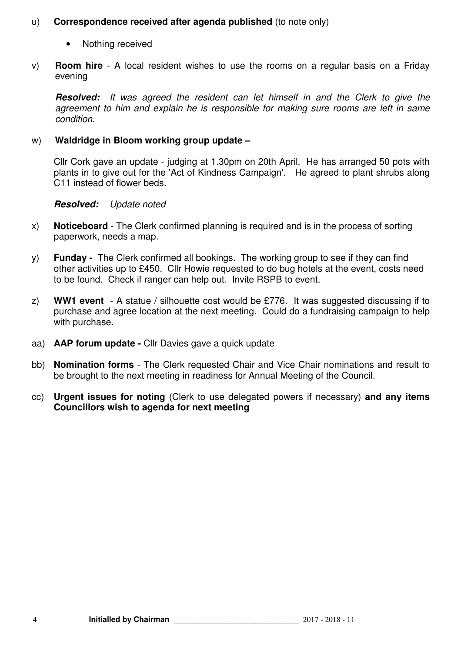## u) **Correspondence received after agenda published** (to note only)

- Nothing received
- v) **Room hire**  A local resident wishes to use the rooms on a regular basis on a Friday evening

**Resolved:** It was agreed the resident can let himself in and the Clerk to give the agreement to him and explain he is responsible for making sure rooms are left in same condition.

## w) **Waldridge in Bloom working group update –**

Cllr Cork gave an update - judging at 1.30pm on 20th April. He has arranged 50 pots with plants in to give out for the 'Act of Kindness Campaign'. He agreed to plant shrubs along C11 instead of flower beds.

## **Resolved:** Update noted

- x) **Noticeboard** The Clerk confirmed planning is required and is in the process of sorting paperwork, needs a map.
- y) **Funday -** The Clerk confirmed all bookings. The working group to see if they can find other activities up to £450. Cllr Howie requested to do bug hotels at the event, costs need to be found. Check if ranger can help out. Invite RSPB to event.
- z) **WW1 event**  A statue / silhouette cost would be £776. It was suggested discussing if to purchase and agree location at the next meeting. Could do a fundraising campaign to help with purchase.
- aa) **AAP forum update** Cllr Davies gave a quick update
- bb) **Nomination forms**  The Clerk requested Chair and Vice Chair nominations and result to be brought to the next meeting in readiness for Annual Meeting of the Council.
- cc) **Urgent issues for noting** (Clerk to use delegated powers if necessary) **and any items Councillors wish to agenda for next meeting**